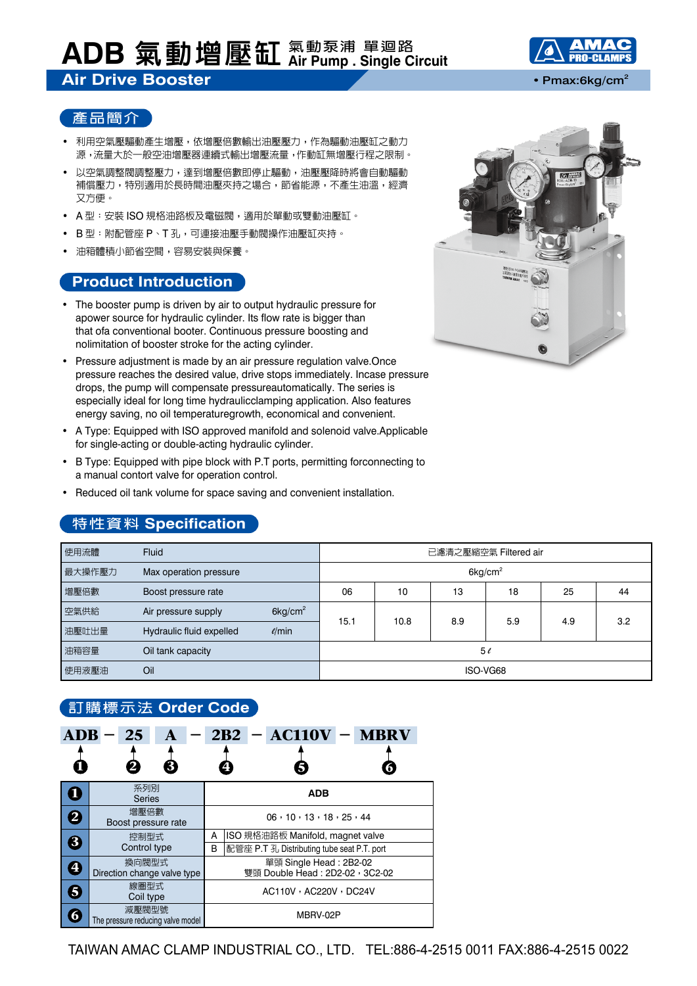# **ADB 氣動增壓缸 氣動泵浦 單迴路 Air Pump . Single Circuit**

#### **Air Drive Booster** • **Pmax:6kg/cm<sup>2</sup>**



- 利用空氣壓驅動產生增壓,依增壓倍數輸出油壓壓力,作為驅動油壓缸之動力 源,流量大於一般空油增壓器連續式輸出增壓流量,作動缸無增壓行程之限制。
- 以空氣調整閥調整壓力,達到增壓倍數即停止驅動,油壓壓降時將會自動驅動 補償壓力,特別適用於長時間油壓夾持之場合,節省能源,不產生油溫,經濟 又方便。
- A 型:安裝 ISO 規格油路板及電磁閥,適用於單動或雙動油壓缸。
- B 型:附配管座 P、T 孔,可連接油壓手動閥操作油壓缸夾持。
- 油箱體積小節省空間,容易安裝與保養。

#### **Product Introduction**

- The booster pump is driven by air to output hydraulic pressure for apower source for hydraulic cylinder. Its flow rate is bigger than that ofa conventional booter. Continuous pressure boosting and nolimitation of booster stroke for the acting cylinder.
- Pressure adjustment is made by an air pressure regulation valve.Once pressure reaches the desired value, drive stops immediately. Incase pressure drops, the pump will compensate pressureautomatically. The series is especially ideal for long time hydraulicclamping application. Also features energy saving, no oil temperaturegrowth, economical and convenient.
- A Type: Equipped with ISO approved manifold and solenoid valve.Applicable for single-acting or double-acting hydraulic cylinder.
- B Type: Equipped with pipe block with P.T ports, permitting forconnecting to a manual contort valve for operation control.
- Reduced oil tank volume for space saving and convenient installation.

### **特性資料 Specification**

| 使用流體   | <b>Fluid</b>             |                     | 已濾清之壓縮空氣 Filtered air  |      |     |     |     |     |  |
|--------|--------------------------|---------------------|------------------------|------|-----|-----|-----|-----|--|
| 最大操作壓力 | Max operation pressure   |                     | $6$ kg/cm <sup>2</sup> |      |     |     |     |     |  |
| 增壓倍數   | Boost pressure rate      |                     | 06                     | 10   | 13  | 18  | 25  | 44  |  |
| 空氣供給   | Air pressure supply      | 6kg/cm <sup>2</sup> | 15.1                   | 10.8 | 8.9 | 5.9 | 4.9 | 3.2 |  |
| 油壓吐出量  | Hydraulic fluid expelled | $\ell$ /min         |                        |      |     |     |     |     |  |
| 油箱容量   | Oil tank capacity        |                     | 50                     |      |     |     |     |     |  |
| 使用液壓油  | Oil                      |                     | ISO-VG68               |      |     |     |     |     |  |

#### **訂購標示法 Order Code**

|                         | <b>비가 저녁 거야 아니 어머니 어머니 어디</b> 나는 어디 먹었다.   |                                                          |                                                 |  |                       |  |  |  |  |
|-------------------------|--------------------------------------------|----------------------------------------------------------|-------------------------------------------------|--|-----------------------|--|--|--|--|
| <b>ADB</b>              | 25<br>3                                    |                                                          |                                                 |  | $2B2 - AC110V - MBRV$ |  |  |  |  |
| Ĺ                       | 系列別<br><b>Series</b>                       | <b>ADB</b>                                               |                                                 |  |                       |  |  |  |  |
| $\overline{\mathbf{2}}$ | 增壓倍數<br>Boost pressure rate                | 06, 10, 13, 18, 25, 44                                   |                                                 |  |                       |  |  |  |  |
|                         | 控制型式                                       | A                                                        | ISO 規格油路板 Manifold, magnet valve                |  |                       |  |  |  |  |
|                         | 8<br>Control type                          |                                                          | B<br>配管座 P.T 孔 Distributing tube seat P.T. port |  |                       |  |  |  |  |
| $\boldsymbol{\Theta}$   | 換向閥型式<br>Direction change valve type       | 單頭 Single Head: 2B2-02<br>雙頭 Double Head: 2D2-02, 3C2-02 |                                                 |  |                       |  |  |  |  |
| 5                       | 線圏型式<br>Coil type                          | AC110V, AC220V, DC24V                                    |                                                 |  |                       |  |  |  |  |
| $\overline{\bf{6}}$     | 減壓閥型號<br>The pressure reducing valve model | MBRV-02P                                                 |                                                 |  |                       |  |  |  |  |